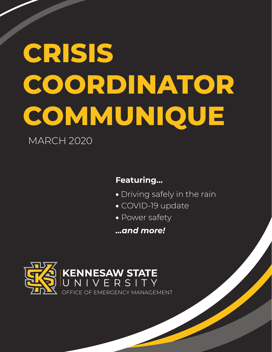# **CRISIS COORDINATOR COMMUNIQUE**

MARCH 2020

### **Featuring...**

- Driving safely in the rain
- COVID-19 update
- Power safety

*...and more!*

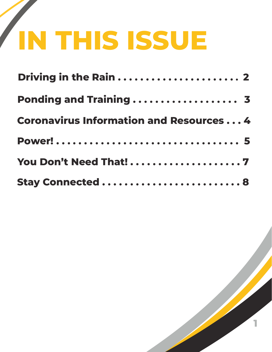# **IN THIS ISSUE**

| Ponding and Training  3                        |  |
|------------------------------------------------|--|
| <b>Coronavirus Information and Resources 4</b> |  |
|                                                |  |
| You Don't Need That!7                          |  |
| <b>Stay Connected  8</b>                       |  |

**1**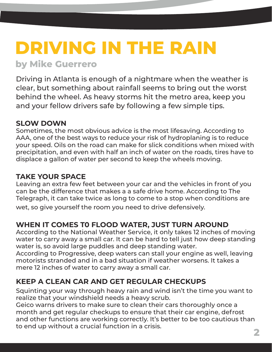### **DRIVING IN THE RAIN by Mike Guerrero**

Driving in Atlanta is enough of a nightmare when the weather is clear, but something about rainfall seems to bring out the worst behind the wheel. As heavy storms hit the metro area, keep you and your fellow drivers safe by following a few simple tips.

#### **SLOW DOWN**

Sometimes, the most obvious advice is the most lifesaving. According to AAA, one of the best ways to reduce your risk of hydroplaning is to reduce your speed. Oils on the road can make for slick conditions when mixed with precipitation, and even with half an inch of water on the roads, tires have to displace a gallon of water per second to keep the wheels moving.

#### **TAKE YOUR SPACE**

Leaving an extra few feet between your car and the vehicles in front of you can be the difference that makes a a safe drive home. According to The Telegraph, it can take twice as long to come to a stop when conditions are wet, so give yourself the room you need to drive defensively.

### **WHEN IT COMES T0 FLOOD WATER, JUST TURN AROUND**

According to the National Weather Service, it only takes 12 inches of moving water to carry away a small car. It can be hard to tell just how deep standing water is, so avoid large puddles and deep standing water.

According to Progressive, deep waters can stall your engine as well, leaving motorists stranded and in a bad situation if weather worsens. It takes a mere 12 inches of water to carry away a small car.

### **KEEP A CLEAN CAR AND GET REGULAR CHECKUPS**

Squinting your way through heavy rain and wind isn't the time you want to realize that your windshield needs a heavy scrub.

Geico warns drivers to make sure to clean their cars thoroughly once a month and get regular checkups to ensure that their car engine, defrost and other functions are working correctly. It's better to be too cautious than to end up without a crucial function in a crisis.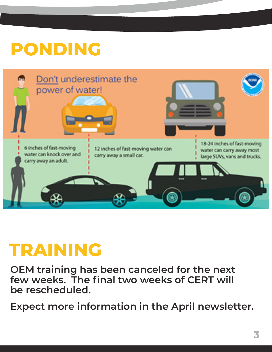# **PONDING**



### **TRAINING**

**OEM training has been canceled for the next few weeks. The final two weeks of CERT will be rescheduled.** 

**Expect more information in the April newsletter.**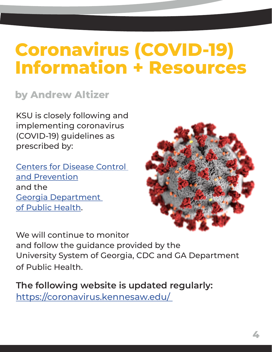## **Coronavirus (COVID-19) Information + Resources**

### **by Andrew Altizer**

KSU is closely following and implementing coronavirus (COVID-19) guidelines as prescribed by:

[Centers for Disease Control](https://www.cdc.gov/coronavirus/2019-ncov/index.html)  [and Prevention](https://www.cdc.gov/coronavirus/2019-ncov/index.html) and the [Georgia Department](https://dph.georgia.gov/novelcoronavirus)  [of Public Health](https://dph.georgia.gov/novelcoronavirus).



We will continue to monitor and follow the guidance provided by the University System of Georgia, CDC and GA Department of Public Health.

**The following website is updated regularly:**  <https://coronavirus.kennesaw.edu/>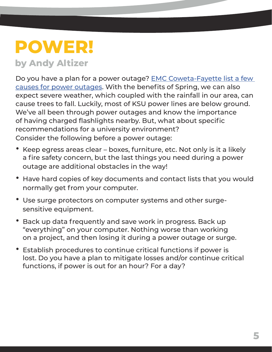## **POWER!**

### **by Andy Altizer**

Do you have a plan for a power outage? [EMC Coweta-Fayette list a few](https://utility.org/what-causes-power-outages/)  [causes for power outages.](https://utility.org/what-causes-power-outages/) With the benefits of Spring, we can also expect severe weather, which coupled with the rainfall in our area, can cause trees to fall. Luckily, most of KSU power lines are below ground. We've all been through power outages and know the importance of having charged flashlights nearby. But, what about specific recommendations for a university environment? Consider the following before a power outage:

- Keep egress areas clear boxes, furniture, etc. Not only is it a likely a fire safety concern, but the last things you need during a power outage are additional obstacles in the way!
- Have hard copies of key documents and contact lists that you would normally get from your computer.
- Use surge protectors on computer systems and other surge sensitive equipment.
- Back up data frequently and save work in progress. Back up "everything" on your computer. Nothing worse than working on a project, and then losing it during a power outage or surge.
- Establish procedures to continue critical functions if power is lost. Do you have a plan to mitigate losses and/or continue critical functions, if power is out for an hour? For a day?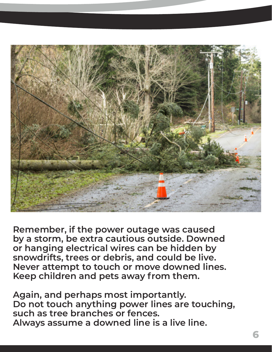

**Remember, if the power outage was caused by a storm, be extra cautious outside. Downed or hanging electrical wires can be hidden by snowdrifts, trees or debris, and could be live. Never attempt to touch or move downed lines. Keep children and pets away from them.** 

**Again, and perhaps most importantly. Do not touch anything power lines are touching, such as tree branches or fences. Always assume a downed line is a live line.**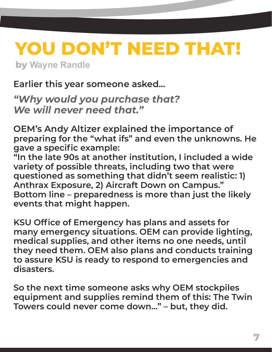### **YOU DON'T NEED THAT! by Wayne Randle**

**Earlier this year someone asked...** 

*"Why would you purchase that? We will never need that."* 

**OEM's Andy Altizer explained the importance of preparing for the "what ifs" and even the unknowns. He gave a specific example:** 

**"In the late 90s at another institution, I included a wide variety of possible threats, including two that were questioned as something that didn't seem realistic: 1) Anthrax Exposure, 2) Aircraft Down on Campus." Bottom line – preparedness is more than just the likely events that might happen.**

**KSU Office of Emergency has plans and assets for many emergency situations. OEM can provide lighting, medical supplies, and other items no one needs, until they need them. OEM also plans and conducts training to assure KSU is ready to respond to emergencies and disasters.** 

**So the next time someone asks why OEM stockpiles equipment and supplies remind them of this: The Twin Towers could never come down…" – but, they did.**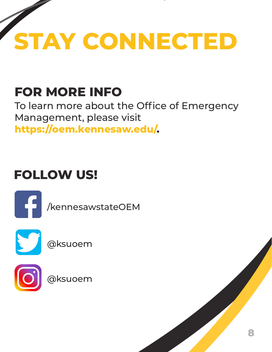

### **FOR MORE INFO**

To learn more about the Office of Emergency Management, please visit **https://oem.kennesaw.edu/.**

### **FOLLOW US!**



/kennesawstateOEM



@ksuoem



@ksuoem